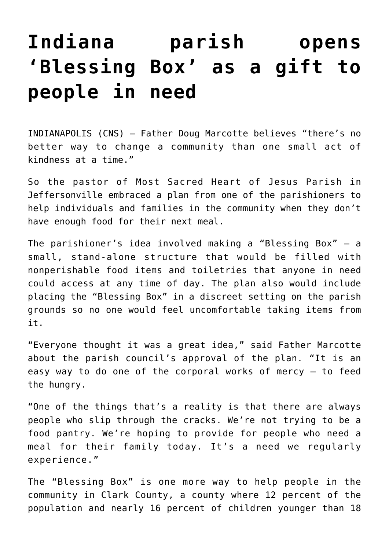## **[Indiana parish opens](https://www.osvnews.com/2019/02/12/indiana-parish-opens-blessing-box-as-a-gift-to-people-in-need/) ['Blessing Box' as a gift to](https://www.osvnews.com/2019/02/12/indiana-parish-opens-blessing-box-as-a-gift-to-people-in-need/) [people in need](https://www.osvnews.com/2019/02/12/indiana-parish-opens-blessing-box-as-a-gift-to-people-in-need/)**

INDIANAPOLIS (CNS) — Father Doug Marcotte believes "there's no better way to change a community than one small act of kindness at a time."

So the pastor of Most Sacred Heart of Jesus Parish in Jeffersonville embraced a plan from one of the parishioners to help individuals and families in the community when they don't have enough food for their next meal.

The parishioner's idea involved making a "Blessing Box" — a small, stand-alone structure that would be filled with nonperishable food items and toiletries that anyone in need could access at any time of day. The plan also would include placing the "Blessing Box" in a discreet setting on the parish grounds so no one would feel uncomfortable taking items from it.

"Everyone thought it was a great idea," said Father Marcotte about the parish council's approval of the plan. "It is an easy way to do one of the corporal works of mercy — to feed the hungry.

"One of the things that's a reality is that there are always people who slip through the cracks. We're not trying to be a food pantry. We're hoping to provide for people who need a meal for their family today. It's a need we regularly experience."

The "Blessing Box" is one more way to help people in the community in Clark County, a county where 12 percent of the population and nearly 16 percent of children younger than 18